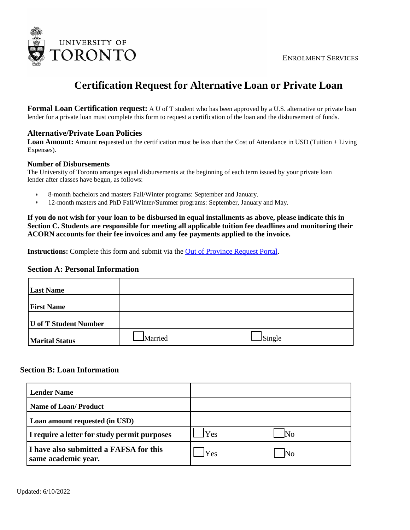

# **Certification Request for Alternative Loan or Private Loan**

**Formal Loan Certification request:** A U of T student who has been approved by a U.S. alternative or private loan lender for a private loan must complete this form to request a certification of the loan and the disbursement of funds.

# **Alternative/Private Loan Policies**

**Loan Amount:** Amount requested on the certification must be *less* than the Cost of Attendance in USD (Tuition + Living Expenses).

## **Number of Disbursements**

The University of Toronto arranges equal disbursements at the beginning of each term issued by your private loan lender after classes have begun, as follows:

- 8-month bachelors and masters Fall/Winter programs: September and January.
- 12-month masters and PhD Fall/Winter/Summer programs: September, January and May.

If you do not wish for your loan to be disbursed in equal installments as above, please indicate this in **Section C. Students are responsible for meeting all applicable tuition fee deadlines and monitoring their ACORN accounts for their fee invoices and any fee payments applied to the invoice.**

**Instructions:** Complete this form and submit via the **Out of [Province](https://future.utoronto.ca/finances/financial-aid/us-student-aid/#altpri) Request Portal**.

## **Section A: Personal Information**

| <b>Last Name</b>             |         |                        |  |
|------------------------------|---------|------------------------|--|
| <b>First Name</b>            |         |                        |  |
| <b>U</b> of T Student Number |         |                        |  |
| <b>Marital Status</b>        | Married | $\sqrt{\text{Single}}$ |  |

## **Section B: Loan Information**

| <b>Lender Name</b>                                            |            |
|---------------------------------------------------------------|------------|
| <b>Name of Loan/Product</b>                                   |            |
| Loan amount requested (in USD)                                |            |
| I require a letter for study permit purposes                  | Yes<br>No  |
| I have also submitted a FAFSA for this<br>same academic year. | Yes<br>IN0 |